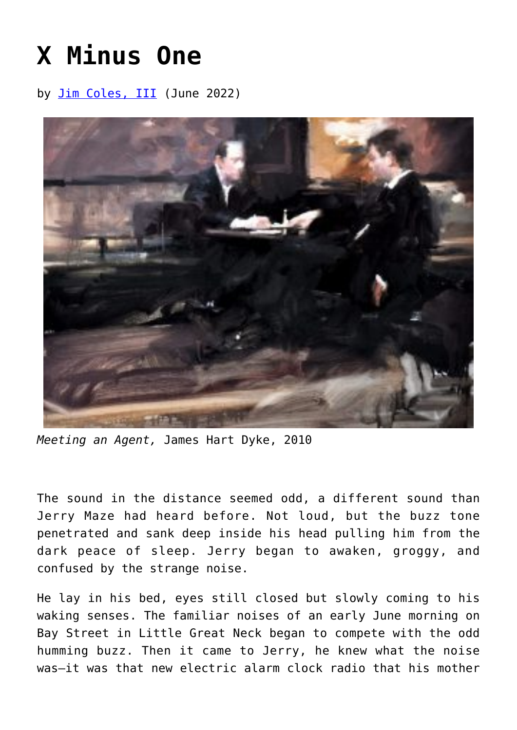## **[X Minus One](https://www.newenglishreview.org/articles/x-minus-one/)**

by [Jim Coles, III](https://www.newenglishreview.org/authors/jim-coles-iii/) (June 2022)



*Meeting an Agent,* James Hart Dyke, 2010

The sound in the distance seemed odd, a different sound than Jerry Maze had heard before. Not loud, but the buzz tone penetrated and sank deep inside his head pulling him from the dark peace of sleep. Jerry began to awaken, groggy, and confused by the strange noise.

He lay in his bed, eyes still closed but slowly coming to his waking senses. The familiar noises of an early June morning on Bay Street in Little Great Neck began to compete with the odd humming buzz. Then it came to Jerry, he knew what the noise was—it was that new electric alarm clock radio that his mother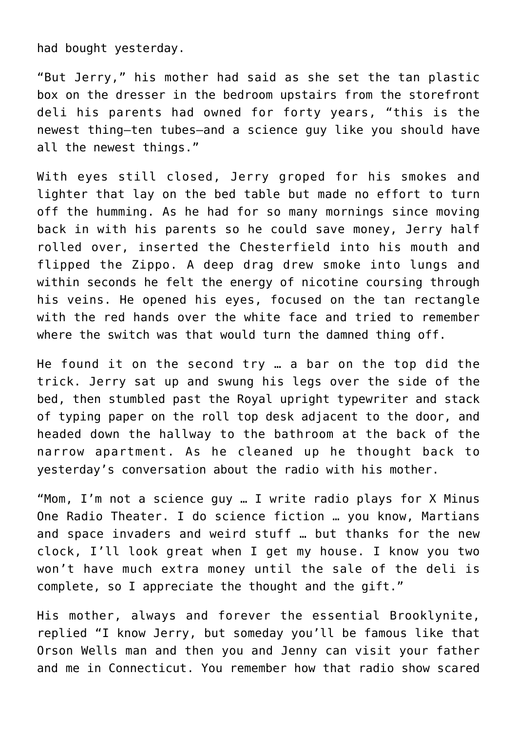had bought yesterday.

"But Jerry," his mother had said as she set the tan plastic box on the dresser in the bedroom upstairs from the storefront deli his parents had owned for forty years, "this is the newest thing—ten tubes—and a science guy like you should have all the newest things."

With eyes still closed, Jerry groped for his smokes and lighter that lay on the bed table but made no effort to turn off the humming. As he had for so many mornings since moving back in with his parents so he could save money, Jerry half rolled over, inserted the Chesterfield into his mouth and flipped the Zippo. A deep drag drew smoke into lungs and within seconds he felt the energy of nicotine coursing through his veins. He opened his eyes, focused on the tan rectangle with the red hands over the white face and tried to remember where the switch was that would turn the damned thing off.

He found it on the second try … a bar on the top did the trick. Jerry sat up and swung his legs over the side of the bed, then stumbled past the Royal upright typewriter and stack of typing paper on the roll top desk adjacent to the door, and headed down the hallway to the bathroom at the back of the narrow apartment. As he cleaned up he thought back to yesterday's conversation about the radio with his mother.

"Mom, I'm not a science guy … I write radio plays for X Minus One Radio Theater. I do science fiction … you know, Martians and space invaders and weird stuff … but thanks for the new clock, I'll look great when I get my house. I know you two won't have much extra money until the sale of the deli is complete, so I appreciate the thought and the gift."

His mother, always and forever the essential Brooklynite, replied "I know Jerry, but someday you'll be famous like that Orson Wells man and then you and Jenny can visit your father and me in Connecticut. You remember how that radio show scared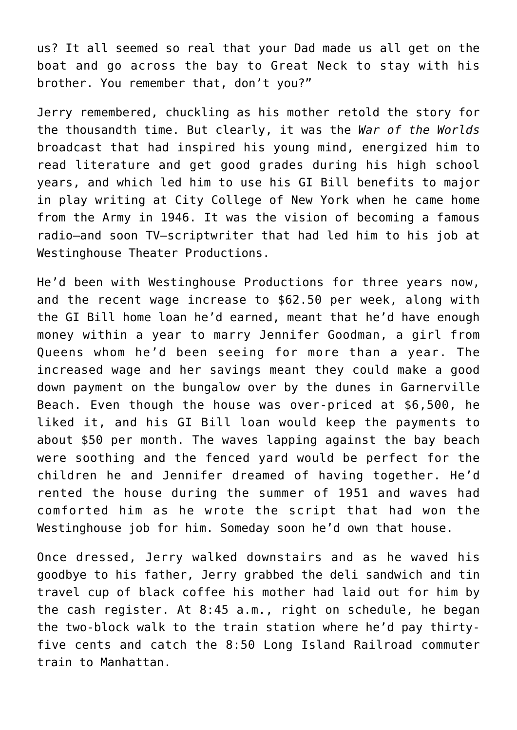us? It all seemed so real that your Dad made us all get on the boat and go across the bay to Great Neck to stay with his brother. You remember that, don't you?"

Jerry remembered, chuckling as his mother retold the story for the thousandth time. But clearly, it was the *War of the Worlds* broadcast that had inspired his young mind, energized him to read literature and get good grades during his high school years, and which led him to use his GI Bill benefits to major in play writing at City College of New York when he came home from the Army in 1946. It was the vision of becoming a famous radio—and soon TV—scriptwriter that had led him to his job at Westinghouse Theater Productions.

He'd been with Westinghouse Productions for three years now, and the recent wage increase to \$62.50 per week, along with the GI Bill home loan he'd earned, meant that he'd have enough money within a year to marry Jennifer Goodman, a girl from Queens whom he'd been seeing for more than a year. The increased wage and her savings meant they could make a good down payment on the bungalow over by the dunes in Garnerville Beach. Even though the house was over-priced at \$6,500, he liked it, and his GI Bill loan would keep the payments to about \$50 per month. The waves lapping against the bay beach were soothing and the fenced yard would be perfect for the children he and Jennifer dreamed of having together. He'd rented the house during the summer of 1951 and waves had comforted him as he wrote the script that had won the Westinghouse job for him. Someday soon he'd own that house.

Once dressed, Jerry walked downstairs and as he waved his goodbye to his father, Jerry grabbed the deli sandwich and tin travel cup of black coffee his mother had laid out for him by the cash register. At 8:45 a.m., right on schedule, he began the two-block walk to the train station where he'd pay thirtyfive cents and catch the 8:50 Long Island Railroad commuter train to Manhattan.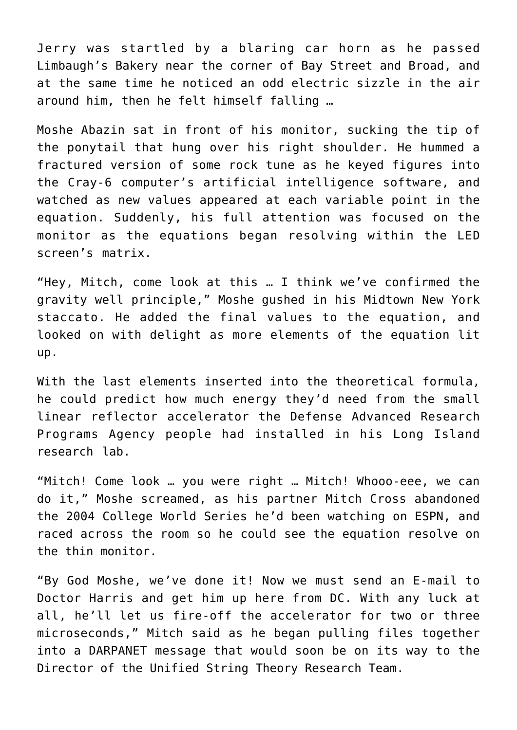Jerry was startled by a blaring car horn as he passed Limbaugh's Bakery near the corner of Bay Street and Broad, and at the same time he noticed an odd electric sizzle in the air around him, then he felt himself falling …

Moshe Abazin sat in front of his monitor, sucking the tip of the ponytail that hung over his right shoulder. He hummed a fractured version of some rock tune as he keyed figures into the Cray-6 computer's artificial intelligence software, and watched as new values appeared at each variable point in the equation. Suddenly, his full attention was focused on the monitor as the equations began resolving within the LED screen's matrix.

"Hey, Mitch, come look at this … I think we've confirmed the gravity well principle," Moshe gushed in his Midtown New York staccato. He added the final values to the equation, and looked on with delight as more elements of the equation lit up.

With the last elements inserted into the theoretical formula, he could predict how much energy they'd need from the small linear reflector accelerator the Defense Advanced Research Programs Agency people had installed in his Long Island research lab.

"Mitch! Come look … you were right … Mitch! Whooo-eee, we can do it," Moshe screamed, as his partner Mitch Cross abandoned the 2004 College World Series he'd been watching on ESPN, and raced across the room so he could see the equation resolve on the thin monitor.

"By God Moshe, we've done it! Now we must send an E-mail to Doctor Harris and get him up here from DC. With any luck at all, he'll let us fire-off the accelerator for two or three microseconds," Mitch said as he began pulling files together into a DARPANET message that would soon be on its way to the Director of the Unified String Theory Research Team.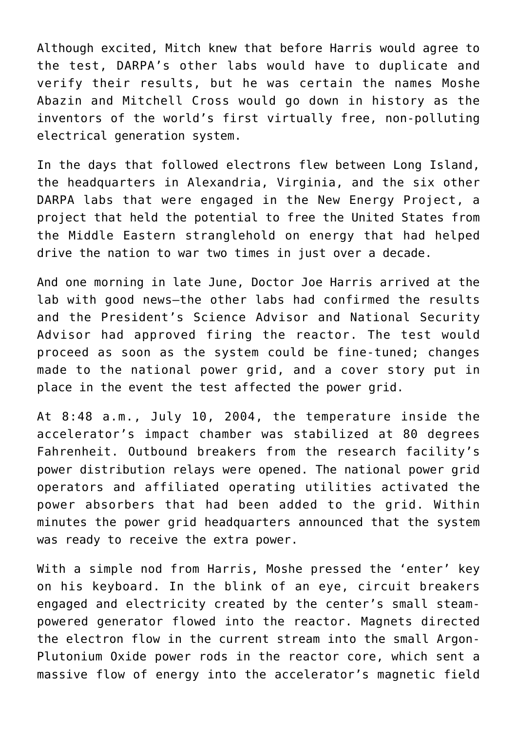Although excited, Mitch knew that before Harris would agree to the test, DARPA's other labs would have to duplicate and verify their results, but he was certain the names Moshe Abazin and Mitchell Cross would go down in history as the inventors of the world's first virtually free, non-polluting electrical generation system.

In the days that followed electrons flew between Long Island, the headquarters in Alexandria, Virginia, and the six other DARPA labs that were engaged in the New Energy Project, a project that held the potential to free the United States from the Middle Eastern stranglehold on energy that had helped drive the nation to war two times in just over a decade.

And one morning in late June, Doctor Joe Harris arrived at the lab with good news—the other labs had confirmed the results and the President's Science Advisor and National Security Advisor had approved firing the reactor. The test would proceed as soon as the system could be fine-tuned; changes made to the national power grid, and a cover story put in place in the event the test affected the power grid.

At 8:48 a.m., July 10, 2004, the temperature inside the accelerator's impact chamber was stabilized at 80 degrees Fahrenheit. Outbound breakers from the research facility's power distribution relays were opened. The national power grid operators and affiliated operating utilities activated the power absorbers that had been added to the grid. Within minutes the power grid headquarters announced that the system was ready to receive the extra power.

With a simple nod from Harris, Moshe pressed the 'enter' key on his keyboard. In the blink of an eye, circuit breakers engaged and electricity created by the center's small steampowered generator flowed into the reactor. Magnets directed the electron flow in the current stream into the small Argon-Plutonium Oxide power rods in the reactor core, which sent a massive flow of energy into the accelerator's magnetic field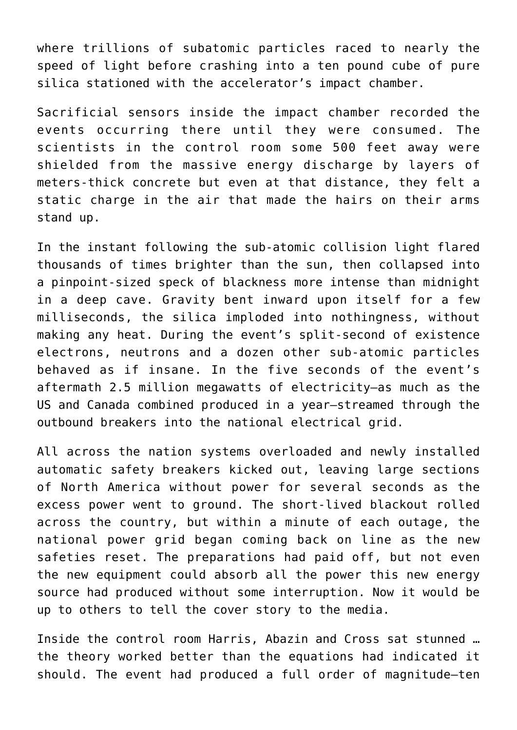where trillions of subatomic particles raced to nearly the speed of light before crashing into a ten pound cube of pure silica stationed with the accelerator's impact chamber.

Sacrificial sensors inside the impact chamber recorded the events occurring there until they were consumed. The scientists in the control room some 500 feet away were shielded from the massive energy discharge by layers of meters-thick concrete but even at that distance, they felt a static charge in the air that made the hairs on their arms stand up.

In the instant following the sub-atomic collision light flared thousands of times brighter than the sun, then collapsed into a pinpoint-sized speck of blackness more intense than midnight in a deep cave. Gravity bent inward upon itself for a few milliseconds, the silica imploded into nothingness, without making any heat. During the event's split-second of existence electrons, neutrons and a dozen other sub-atomic particles behaved as if insane. In the five seconds of the event's aftermath 2.5 million megawatts of electricity—as much as the US and Canada combined produced in a year—streamed through the outbound breakers into the national electrical grid.

All across the nation systems overloaded and newly installed automatic safety breakers kicked out, leaving large sections of North America without power for several seconds as the excess power went to ground. The short-lived blackout rolled across the country, but within a minute of each outage, the national power grid began coming back on line as the new safeties reset. The preparations had paid off, but not even the new equipment could absorb all the power this new energy source had produced without some interruption. Now it would be up to others to tell the cover story to the media.

Inside the control room Harris, Abazin and Cross sat stunned … the theory worked better than the equations had indicated it should. The event had produced a full order of magnitude—ten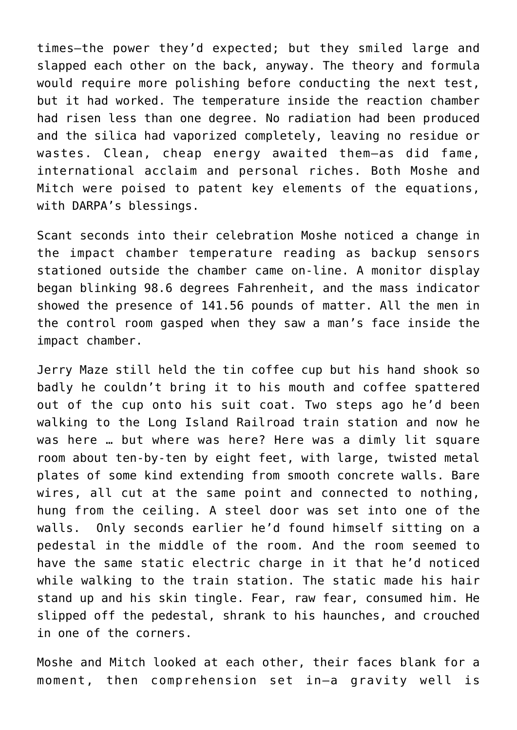times—the power they'd expected; but they smiled large and slapped each other on the back, anyway. The theory and formula would require more polishing before conducting the next test, but it had worked. The temperature inside the reaction chamber had risen less than one degree. No radiation had been produced and the silica had vaporized completely, leaving no residue or wastes. Clean, cheap energy awaited them—as did fame, international acclaim and personal riches. Both Moshe and Mitch were poised to patent key elements of the equations, with DARPA's blessings.

Scant seconds into their celebration Moshe noticed a change in the impact chamber temperature reading as backup sensors stationed outside the chamber came on-line. A monitor display began blinking 98.6 degrees Fahrenheit, and the mass indicator showed the presence of 141.56 pounds of matter. All the men in the control room gasped when they saw a man's face inside the impact chamber.

Jerry Maze still held the tin coffee cup but his hand shook so badly he couldn't bring it to his mouth and coffee spattered out of the cup onto his suit coat. Two steps ago he'd been walking to the Long Island Railroad train station and now he was here … but where was here? Here was a dimly lit square room about ten-by-ten by eight feet, with large, twisted metal plates of some kind extending from smooth concrete walls. Bare wires, all cut at the same point and connected to nothing, hung from the ceiling. A steel door was set into one of the walls. Only seconds earlier he'd found himself sitting on a pedestal in the middle of the room. And the room seemed to have the same static electric charge in it that he'd noticed while walking to the train station. The static made his hair stand up and his skin tingle. Fear, raw fear, consumed him. He slipped off the pedestal, shrank to his haunches, and crouched in one of the corners.

Moshe and Mitch looked at each other, their faces blank for a moment, then comprehension set in—a gravity well is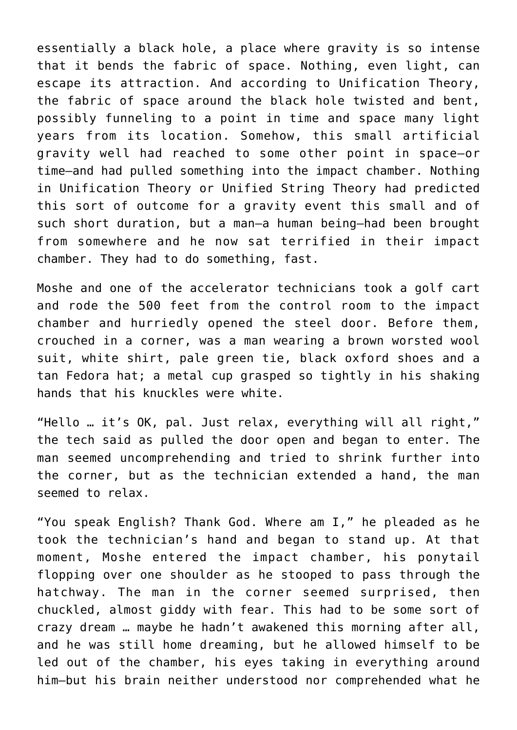essentially a black hole, a place where gravity is so intense that it bends the fabric of space. Nothing, even light, can escape its attraction. And according to Unification Theory, the fabric of space around the black hole twisted and bent, possibly funneling to a point in time and space many light years from its location. Somehow, this small artificial gravity well had reached to some other point in space—or time—and had pulled something into the impact chamber. Nothing in Unification Theory or Unified String Theory had predicted this sort of outcome for a gravity event this small and of such short duration, but a man—a human being—had been brought from somewhere and he now sat terrified in their impact chamber. They had to do something, fast.

Moshe and one of the accelerator technicians took a golf cart and rode the 500 feet from the control room to the impact chamber and hurriedly opened the steel door. Before them, crouched in a corner, was a man wearing a brown worsted wool suit, white shirt, pale green tie, black oxford shoes and a tan Fedora hat; a metal cup grasped so tightly in his shaking hands that his knuckles were white.

"Hello … it's OK, pal. Just relax, everything will all right," the tech said as pulled the door open and began to enter. The man seemed uncomprehending and tried to shrink further into the corner, but as the technician extended a hand, the man seemed to relax.

"You speak English? Thank God. Where am I," he pleaded as he took the technician's hand and began to stand up. At that moment, Moshe entered the impact chamber, his ponytail flopping over one shoulder as he stooped to pass through the hatchway. The man in the corner seemed surprised, then chuckled, almost giddy with fear. This had to be some sort of crazy dream … maybe he hadn't awakened this morning after all, and he was still home dreaming, but he allowed himself to be led out of the chamber, his eyes taking in everything around him—but his brain neither understood nor comprehended what he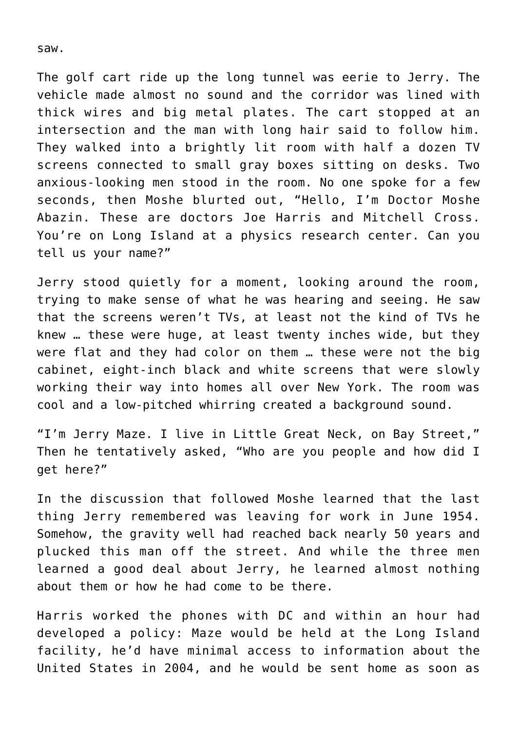saw.

The golf cart ride up the long tunnel was eerie to Jerry. The vehicle made almost no sound and the corridor was lined with thick wires and big metal plates. The cart stopped at an intersection and the man with long hair said to follow him. They walked into a brightly lit room with half a dozen TV screens connected to small gray boxes sitting on desks. Two anxious-looking men stood in the room. No one spoke for a few seconds, then Moshe blurted out, "Hello, I'm Doctor Moshe Abazin. These are doctors Joe Harris and Mitchell Cross. You're on Long Island at a physics research center. Can you tell us your name?"

Jerry stood quietly for a moment, looking around the room, trying to make sense of what he was hearing and seeing. He saw that the screens weren't TVs, at least not the kind of TVs he knew … these were huge, at least twenty inches wide, but they were flat and they had color on them … these were not the big cabinet, eight-inch black and white screens that were slowly working their way into homes all over New York. The room was cool and a low-pitched whirring created a background sound.

"I'm Jerry Maze. I live in Little Great Neck, on Bay Street," Then he tentatively asked, "Who are you people and how did I get here?"

In the discussion that followed Moshe learned that the last thing Jerry remembered was leaving for work in June 1954. Somehow, the gravity well had reached back nearly 50 years and plucked this man off the street. And while the three men learned a good deal about Jerry, he learned almost nothing about them or how he had come to be there.

Harris worked the phones with DC and within an hour had developed a policy: Maze would be held at the Long Island facility, he'd have minimal access to information about the United States in 2004, and he would be sent home as soon as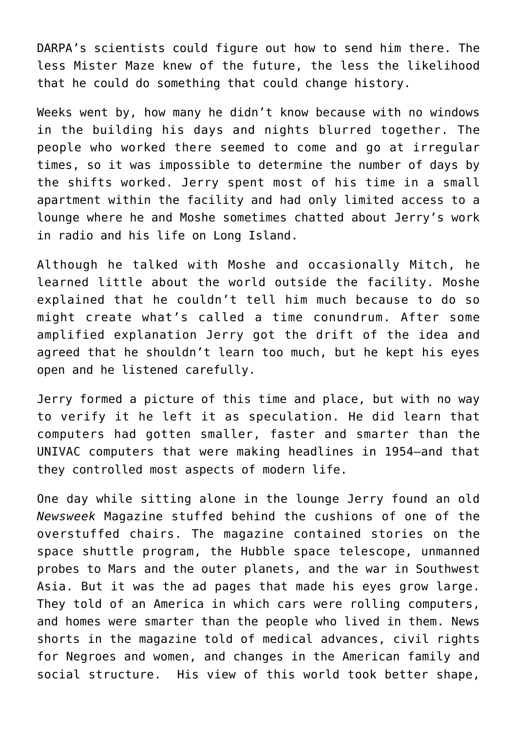DARPA's scientists could figure out how to send him there. The less Mister Maze knew of the future, the less the likelihood that he could do something that could change history.

Weeks went by, how many he didn't know because with no windows in the building his days and nights blurred together. The people who worked there seemed to come and go at irregular times, so it was impossible to determine the number of days by the shifts worked. Jerry spent most of his time in a small apartment within the facility and had only limited access to a lounge where he and Moshe sometimes chatted about Jerry's work in radio and his life on Long Island.

Although he talked with Moshe and occasionally Mitch, he learned little about the world outside the facility. Moshe explained that he couldn't tell him much because to do so might create what's called a time conundrum. After some amplified explanation Jerry got the drift of the idea and agreed that he shouldn't learn too much, but he kept his eyes open and he listened carefully.

Jerry formed a picture of this time and place, but with no way to verify it he left it as speculation. He did learn that computers had gotten smaller, faster and smarter than the UNIVAC computers that were making headlines in 1954—and that they controlled most aspects of modern life.

One day while sitting alone in the lounge Jerry found an old *Newsweek* Magazine stuffed behind the cushions of one of the overstuffed chairs. The magazine contained stories on the space shuttle program, the Hubble space telescope, unmanned probes to Mars and the outer planets, and the war in Southwest Asia. But it was the ad pages that made his eyes grow large. They told of an America in which cars were rolling computers, and homes were smarter than the people who lived in them. News shorts in the magazine told of medical advances, civil rights for Negroes and women, and changes in the American family and social structure. His view of this world took better shape,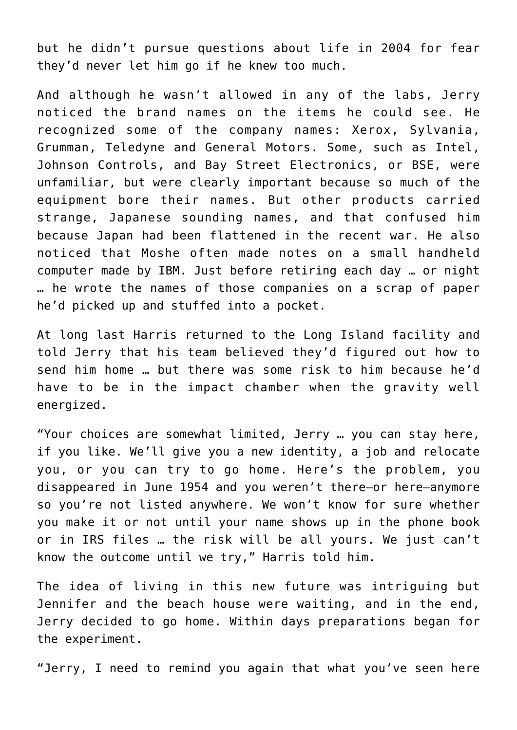but he didn't pursue questions about life in 2004 for fear they'd never let him go if he knew too much.

And although he wasn't allowed in any of the labs, Jerry noticed the brand names on the items he could see. He recognized some of the company names: Xerox, Sylvania, Grumman, Teledyne and General Motors. Some, such as Intel, Johnson Controls, and Bay Street Electronics, or BSE, were unfamiliar, but were clearly important because so much of the equipment bore their names. But other products carried strange, Japanese sounding names, and that confused him because Japan had been flattened in the recent war. He also noticed that Moshe often made notes on a small handheld computer made by IBM. Just before retiring each day … or night … he wrote the names of those companies on a scrap of paper he'd picked up and stuffed into a pocket.

At long last Harris returned to the Long Island facility and told Jerry that his team believed they'd figured out how to send him home … but there was some risk to him because he'd have to be in the impact chamber when the gravity well energized.

"Your choices are somewhat limited, Jerry … you can stay here, if you like. We'll give you a new identity, a job and relocate you, or you can try to go home. Here's the problem, you disappeared in June 1954 and you weren't there—or here—anymore so you're not listed anywhere. We won't know for sure whether you make it or not until your name shows up in the phone book or in IRS files … the risk will be all yours. We just can't know the outcome until we try," Harris told him.

The idea of living in this new future was intriguing but Jennifer and the beach house were waiting, and in the end, Jerry decided to go home. Within days preparations began for the experiment.

"Jerry, I need to remind you again that what you've seen here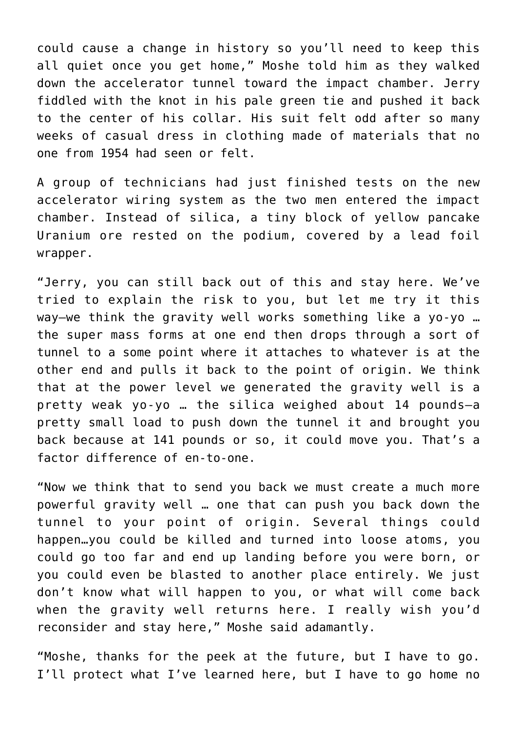could cause a change in history so you'll need to keep this all quiet once you get home," Moshe told him as they walked down the accelerator tunnel toward the impact chamber. Jerry fiddled with the knot in his pale green tie and pushed it back to the center of his collar. His suit felt odd after so many weeks of casual dress in clothing made of materials that no one from 1954 had seen or felt.

A group of technicians had just finished tests on the new accelerator wiring system as the two men entered the impact chamber. Instead of silica, a tiny block of yellow pancake Uranium ore rested on the podium, covered by a lead foil wrapper.

"Jerry, you can still back out of this and stay here. We've tried to explain the risk to you, but let me try it this way—we think the gravity well works something like a yo-yo … the super mass forms at one end then drops through a sort of tunnel to a some point where it attaches to whatever is at the other end and pulls it back to the point of origin. We think that at the power level we generated the gravity well is a pretty weak yo-yo … the silica weighed about 14 pounds—a pretty small load to push down the tunnel it and brought you back because at 141 pounds or so, it could move you. That's a factor difference of en-to-one.

"Now we think that to send you back we must create a much more powerful gravity well … one that can push you back down the tunnel to your point of origin. Several things could happen…you could be killed and turned into loose atoms, you could go too far and end up landing before you were born, or you could even be blasted to another place entirely. We just don't know what will happen to you, or what will come back when the gravity well returns here. I really wish you'd reconsider and stay here," Moshe said adamantly.

"Moshe, thanks for the peek at the future, but I have to go. I'll protect what I've learned here, but I have to go home no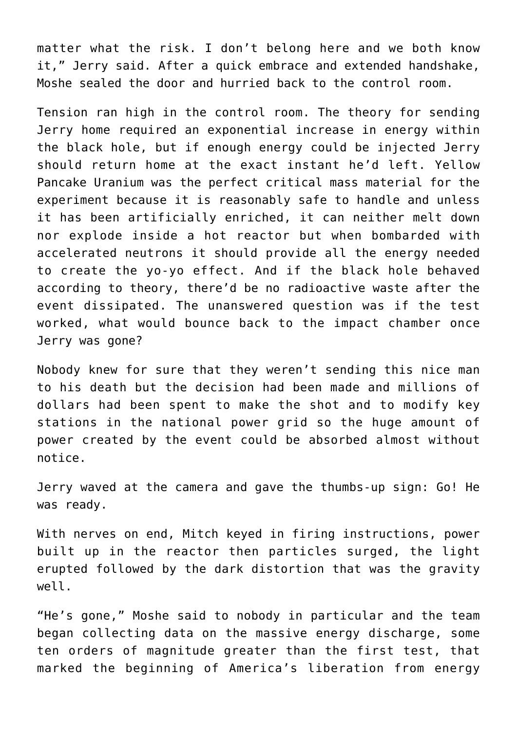matter what the risk. I don't belong here and we both know it," Jerry said. After a quick embrace and extended handshake, Moshe sealed the door and hurried back to the control room.

Tension ran high in the control room. The theory for sending Jerry home required an exponential increase in energy within the black hole, but if enough energy could be injected Jerry should return home at the exact instant he'd left. Yellow Pancake Uranium was the perfect critical mass material for the experiment because it is reasonably safe to handle and unless it has been artificially enriched, it can neither melt down nor explode inside a hot reactor but when bombarded with accelerated neutrons it should provide all the energy needed to create the yo-yo effect. And if the black hole behaved according to theory, there'd be no radioactive waste after the event dissipated. The unanswered question was if the test worked, what would bounce back to the impact chamber once Jerry was gone?

Nobody knew for sure that they weren't sending this nice man to his death but the decision had been made and millions of dollars had been spent to make the shot and to modify key stations in the national power grid so the huge amount of power created by the event could be absorbed almost without notice.

Jerry waved at the camera and gave the thumbs-up sign: Go! He was ready.

With nerves on end, Mitch keyed in firing instructions, power built up in the reactor then particles surged, the light erupted followed by the dark distortion that was the gravity well.

"He's gone," Moshe said to nobody in particular and the team began collecting data on the massive energy discharge, some ten orders of magnitude greater than the first test, that marked the beginning of America's liberation from energy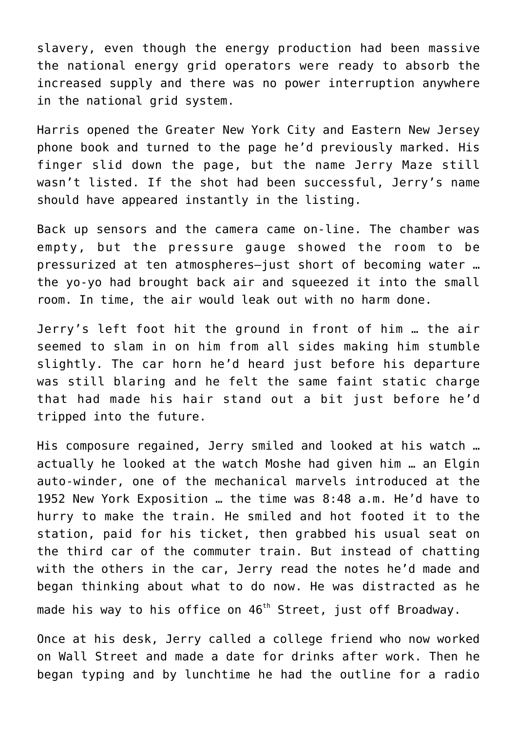slavery, even though the energy production had been massive the national energy grid operators were ready to absorb the increased supply and there was no power interruption anywhere in the national grid system.

Harris opened the Greater New York City and Eastern New Jersey phone book and turned to the page he'd previously marked. His finger slid down the page, but the name Jerry Maze still wasn't listed. If the shot had been successful, Jerry's name should have appeared instantly in the listing.

Back up sensors and the camera came on-line. The chamber was empty, but the pressure gauge showed the room to be pressurized at ten atmospheres—just short of becoming water … the yo-yo had brought back air and squeezed it into the small room. In time, the air would leak out with no harm done.

Jerry's left foot hit the ground in front of him … the air seemed to slam in on him from all sides making him stumble slightly. The car horn he'd heard just before his departure was still blaring and he felt the same faint static charge that had made his hair stand out a bit just before he'd tripped into the future.

His composure regained, Jerry smiled and looked at his watch … actually he looked at the watch Moshe had given him … an Elgin auto-winder, one of the mechanical marvels introduced at the 1952 New York Exposition … the time was 8:48 a.m. He'd have to hurry to make the train. He smiled and hot footed it to the station, paid for his ticket, then grabbed his usual seat on the third car of the commuter train. But instead of chatting with the others in the car, Jerry read the notes he'd made and began thinking about what to do now. He was distracted as he made his way to his office on  $46<sup>th</sup>$  Street, just off Broadway.

Once at his desk, Jerry called a college friend who now worked on Wall Street and made a date for drinks after work. Then he began typing and by lunchtime he had the outline for a radio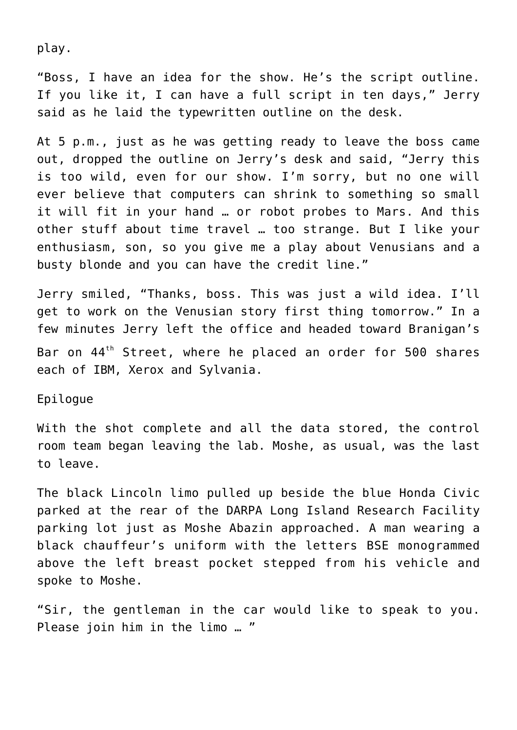play.

"Boss, I have an idea for the show. He's the script outline. If you like it, I can have a full script in ten days," Jerry said as he laid the typewritten outline on the desk.

At 5 p.m., just as he was getting ready to leave the boss came out, dropped the outline on Jerry's desk and said, "Jerry this is too wild, even for our show. I'm sorry, but no one will ever believe that computers can shrink to something so small it will fit in your hand … or robot probes to Mars. And this other stuff about time travel … too strange. But I like your enthusiasm, son, so you give me a play about Venusians and a busty blonde and you can have the credit line."

Jerry smiled, "Thanks, boss. This was just a wild idea. I'll get to work on the Venusian story first thing tomorrow." In a few minutes Jerry left the office and headed toward Branigan's Bar on 44<sup>th</sup> Street, where he placed an order for 500 shares each of IBM, Xerox and Sylvania.

Epilogue

With the shot complete and all the data stored, the control room team began leaving the lab. Moshe, as usual, was the last to leave.

The black Lincoln limo pulled up beside the blue Honda Civic parked at the rear of the DARPA Long Island Research Facility parking lot just as Moshe Abazin approached. A man wearing a black chauffeur's uniform with the letters BSE monogrammed above the left breast pocket stepped from his vehicle and spoke to Moshe.

"Sir, the gentleman in the car would like to speak to you. Please join him in the limo … "